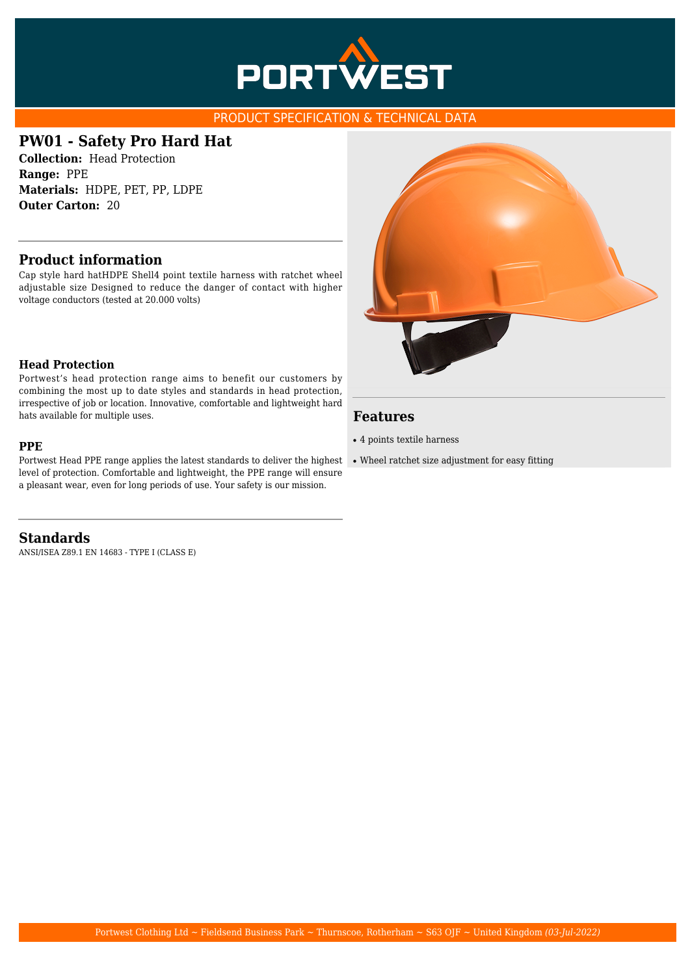

### PRODUCT SPECIFICATION & TECHNICAL DATA

# **PW01 - Safety Pro Hard Hat**

**Collection:** Head Protection **Range:** PPE **Materials:** HDPE, PET, PP, LDPE **Outer Carton:** 20

## **Product information**

Cap style hard hatHDPE Shell4 point textile harness with ratchet wheel adjustable size Designed to reduce the danger of contact with higher voltage conductors (tested at 20.000 volts)

#### **Head Protection**

Portwest's head protection range aims to benefit our customers by combining the most up to date styles and standards in head protection, irrespective of job or location. Innovative, comfortable and lightweight hard hats available for multiple uses.

#### **PPE**

Portwest Head PPE range applies the latest standards to deliver the highest level of protection. Comfortable and lightweight, the PPE range will ensure a pleasant wear, even for long periods of use. Your safety is our mission.

**Standards** ANSI/ISEA Z89.1 EN 14683 - TYPE I (CLASS E)



## **Features**

- 4 points textile harness
- Wheel ratchet size adjustment for easy fitting